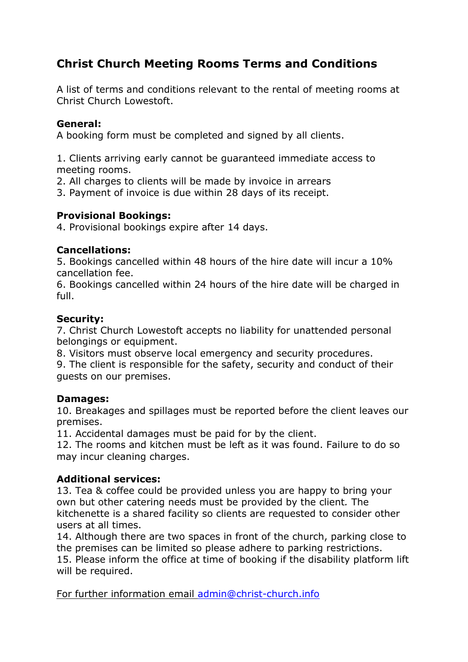# **Christ Church Meeting Rooms Terms and Conditions**

A list of terms and conditions relevant to the rental of meeting rooms at Christ Church Lowestoft.

# **General:**

A booking form must be completed and signed by all clients.

1. Clients arriving early cannot be guaranteed immediate access to meeting rooms.

- 2. All charges to clients will be made by invoice in arrears
- 3. Payment of invoice is due within 28 days of its receipt.

# **Provisional Bookings:**

4. Provisional bookings expire after 14 days.

## **Cancellations:**

5. Bookings cancelled within 48 hours of the hire date will incur a 10% cancellation fee.

6. Bookings cancelled within 24 hours of the hire date will be charged in full.

#### **Security:**

7. Christ Church Lowestoft accepts no liability for unattended personal belongings or equipment.

8. Visitors must observe local emergency and security procedures.

9. The client is responsible for the safety, security and conduct of their guests on our premises.

## **Damages:**

10. Breakages and spillages must be reported before the client leaves our premises.

11. Accidental damages must be paid for by the client.

12. The rooms and kitchen must be left as it was found. Failure to do so may incur cleaning charges.

## **Additional services:**

13. Tea & coffee could be provided unless you are happy to bring your own but other catering needs must be provided by the client*.* The kitchenette is a shared facility so clients are requested to consider other users at all times.

14. Although there are two spaces in front of the church, parking close to the premises can be limited so please adhere to parking restrictions. 15. Please inform the office at time of booking if the disability platform lift will be required.

For further information email [admin@christ-church.info](mailto:admin@christ-church.info)